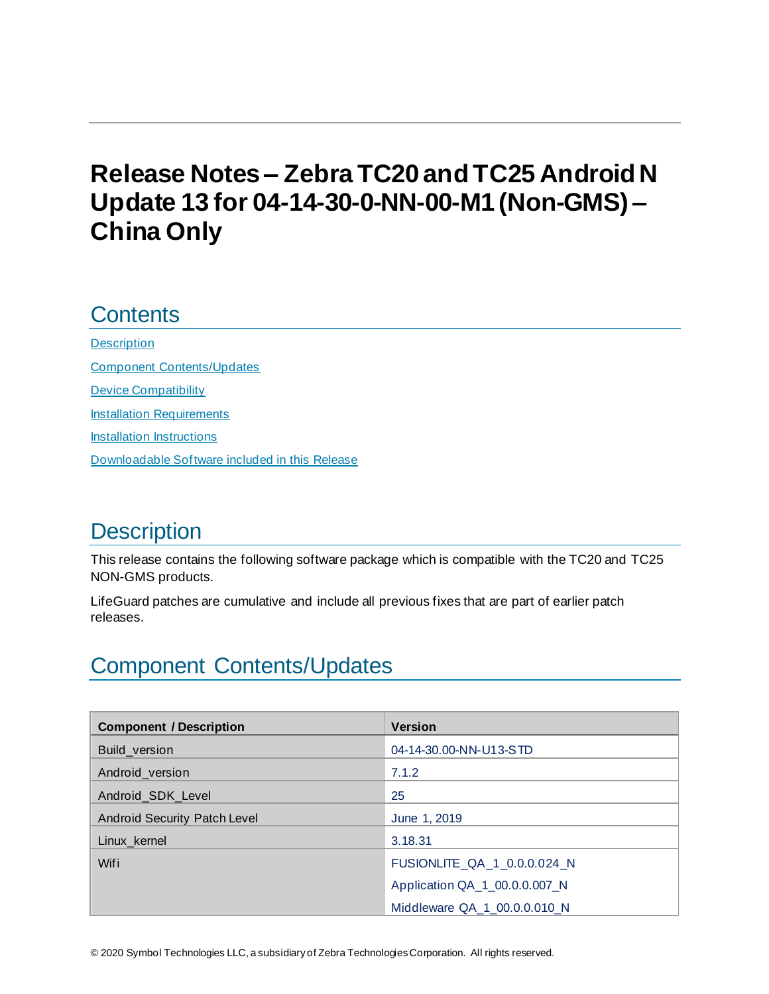# **Release Notes – ZebraTC20 and TC25 Android N Update 13 for 04-14-30-0-NN-00-M1 (Non-GMS) – China Only**

## **Contents**

**[Description](#page-0-0)** [Component Contents/Updates](#page-0-1) [Device Compatibility](#page-7-0) [Installation Requirements](#page-8-0) [Installation Instructions](#page-8-1) [Downloadable Software included in this Release](#page-10-0)

# <span id="page-0-0"></span>**Description**

This release contains the following software package which is compatible with the TC20 and TC25 NON-GMS products.

LifeGuard patches are cumulative and include all previous fixes that are part of earlier patch releases.

# <span id="page-0-1"></span>Component Contents/Updates

| <b>Component / Description</b> | <b>Version</b>                |
|--------------------------------|-------------------------------|
| Build_version                  | 04-14-30.00-NN-U13-STD        |
| Android version                | 7.1.2                         |
| Android_SDK_Level              | 25                            |
| Android Security Patch Level   | June 1, 2019                  |
| Linux_kernel                   | 3.18.31                       |
| Wifi                           | FUSIONLITE_QA_1_0.0.0.024_N   |
|                                | Application QA_1_00.0.0.007_N |
|                                | Middleware QA 1 00.0.0.010 N  |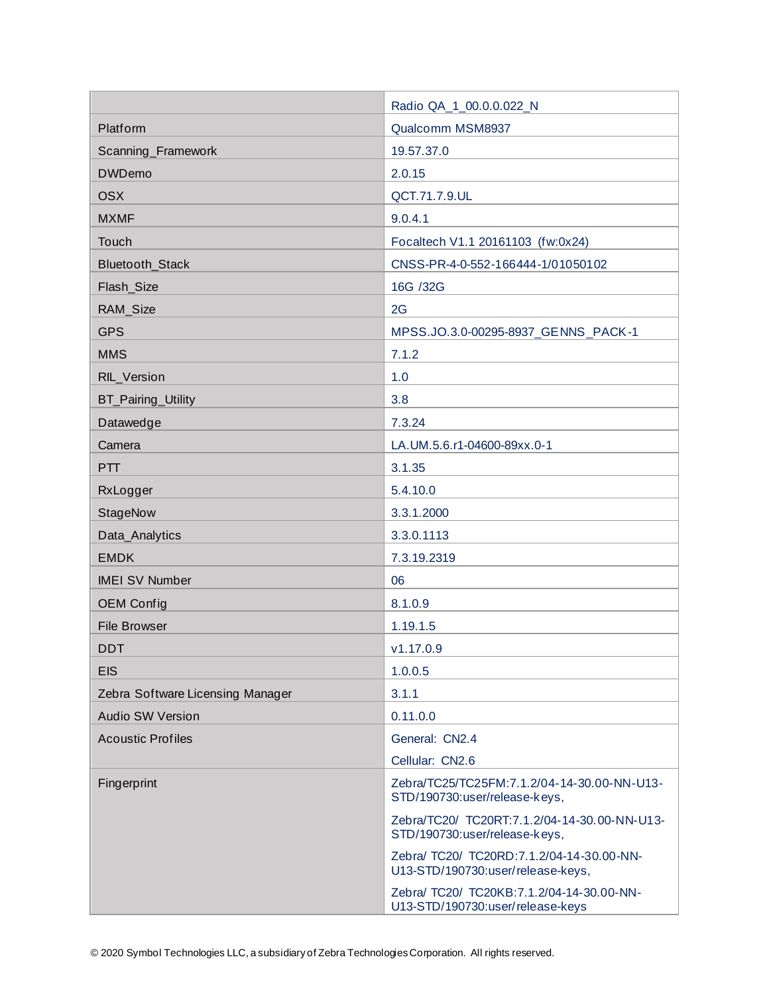|                                  | Radio QA_1_00.0.0.022_N                                                        |  |
|----------------------------------|--------------------------------------------------------------------------------|--|
| Platform                         | Qualcomm MSM8937                                                               |  |
| Scanning_Framework               | 19.57.37.0                                                                     |  |
| <b>DWDemo</b>                    | 2.0.15                                                                         |  |
| <b>OSX</b>                       | QCT.71.7.9.UL                                                                  |  |
| <b>MXMF</b>                      | 9.0.4.1                                                                        |  |
| Touch                            | Focaltech V1.1 20161103 (fw:0x24)                                              |  |
| Bluetooth_Stack                  | CNSS-PR-4-0-552-166444-1/01050102                                              |  |
| Flash_Size                       | 16G /32G                                                                       |  |
| RAM_Size                         | 2G                                                                             |  |
| <b>GPS</b>                       | MPSS.JO.3.0-00295-8937_GENNS_PACK-1                                            |  |
| <b>MMS</b>                       | 7.1.2                                                                          |  |
| RIL_Version                      | 1.0                                                                            |  |
| <b>BT_Pairing_Utility</b>        | 3.8                                                                            |  |
| Datawedge                        | 7.3.24                                                                         |  |
| Camera                           | LA.UM.5.6.r1-04600-89xx.0-1                                                    |  |
| PTT                              | 3.1.35                                                                         |  |
| RxLogger                         | 5.4.10.0                                                                       |  |
| StageNow                         | 3.3.1.2000                                                                     |  |
| Data_Analytics                   | 3.3.0.1113                                                                     |  |
| <b>EMDK</b>                      | 7.3.19.2319                                                                    |  |
| <b>IMEI SV Number</b>            | 06                                                                             |  |
| <b>OEM Config</b>                | 8.1.0.9                                                                        |  |
| <b>File Browser</b>              | 1.19.1.5                                                                       |  |
| <b>DDT</b>                       | v1.17.0.9                                                                      |  |
| <b>EIS</b>                       | 1.0.0.5                                                                        |  |
| Zebra Software Licensing Manager | 3.1.1                                                                          |  |
| <b>Audio SW Version</b>          | 0.11.0.0                                                                       |  |
| <b>Acoustic Profiles</b>         | General: CN2.4                                                                 |  |
|                                  | Cellular: CN2.6                                                                |  |
| Fingerprint                      | Zebra/TC25/TC25FM:7.1.2/04-14-30.00-NN-U13-<br>STD/190730:user/release-keys,   |  |
|                                  | Zebra/TC20/ TC20RT:7.1.2/04-14-30.00-NN-U13-<br>STD/190730:user/release-keys,  |  |
|                                  | Zebra/ TC20/ TC20RD:7.1.2/04-14-30.00-NN-<br>U13-STD/190730:user/release-keys, |  |
|                                  | Zebra/ TC20/ TC20KB:7.1.2/04-14-30.00-NN-<br>U13-STD/190730:user/release-keys  |  |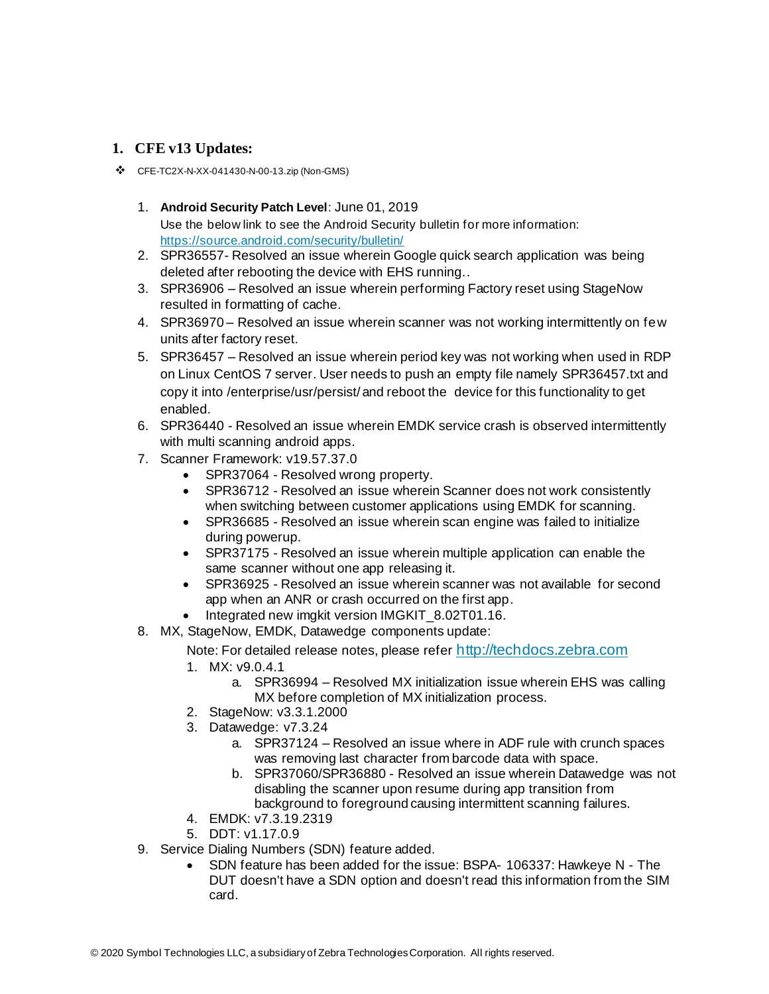#### **1. CFE v13 Updates:**

- ❖ CFE-TC2X-N-XX-041430-N-00-13.zip (Non-GMS)
	- 1. **Android Security Patch Level**: June 01, 2019 Use the below link to see the Android Security bulletin for more information: <https://source.android.com/security/bulletin/>
	- 2. SPR36557- Resolved an issue wherein Google quick search application was being deleted after rebooting the device with EHS running..
	- 3. SPR36906 Resolved an issue wherein performing Factory reset using StageNow resulted in formatting of cache.
	- 4. SPR36970 Resolved an issue wherein scanner was not working intermittently on few units after factory reset.
	- 5. SPR36457 Resolved an issue wherein period key was not working when used in RDP on Linux CentOS 7 server. User needs to push an empty file namely SPR36457.txt and copy it into /enterprise/usr/persist/ and reboot the device for this functionality to get enabled.
	- 6. SPR36440 Resolved an issue wherein EMDK service crash is observed intermittently with multi scanning android apps.
	- 7. Scanner Framework: v19.57.37.0
		- SPR37064 Resolved wrong property.
		- SPR36712 Resolved an issue wherein Scanner does not work consistently when switching between customer applications using EMDK for scanning.
		- SPR36685 Resolved an issue wherein scan engine was failed to initialize during powerup.
		- SPR37175 Resolved an issue wherein multiple application can enable the same scanner without one app releasing it.
		- SPR36925 Resolved an issue wherein scanner was not available for second app when an ANR or crash occurred on the first app.
		- Integrated new imgkit version IMGKIT\_8.02T01.16.
	- 8. MX, StageNow, EMDK, Datawedge components update:

#### Note: For detailed release notes, please refer [http://techdocs.zebra.com](http://techdocs.zebra.com/)

- 1. MX: v9.0.4.1
	- a. SPR36994 Resolved MX initialization issue wherein EHS was calling MX before completion of MX initialization process.
- 2. StageNow: v3.3.1.2000
- 3. Datawedge: v7.3.24
	- a. SPR37124 Resolved an issue where in ADF rule with crunch spaces was removing last character from barcode data with space.
	- b. SPR37060/SPR36880 Resolved an issue wherein Datawedge was not disabling the scanner upon resume during app transition from background to foreground causing intermittent scanning failures.
- 4. EMDK: v7.3.19.2319
- 5. DDT: v1.17.0.9
- 9. Service Dialing Numbers (SDN) feature added.
	- SDN feature has been added for the issue: BSPA- 106337: Hawkeye N The DUT doesn't have a SDN option and doesn't read this information from the SIM card.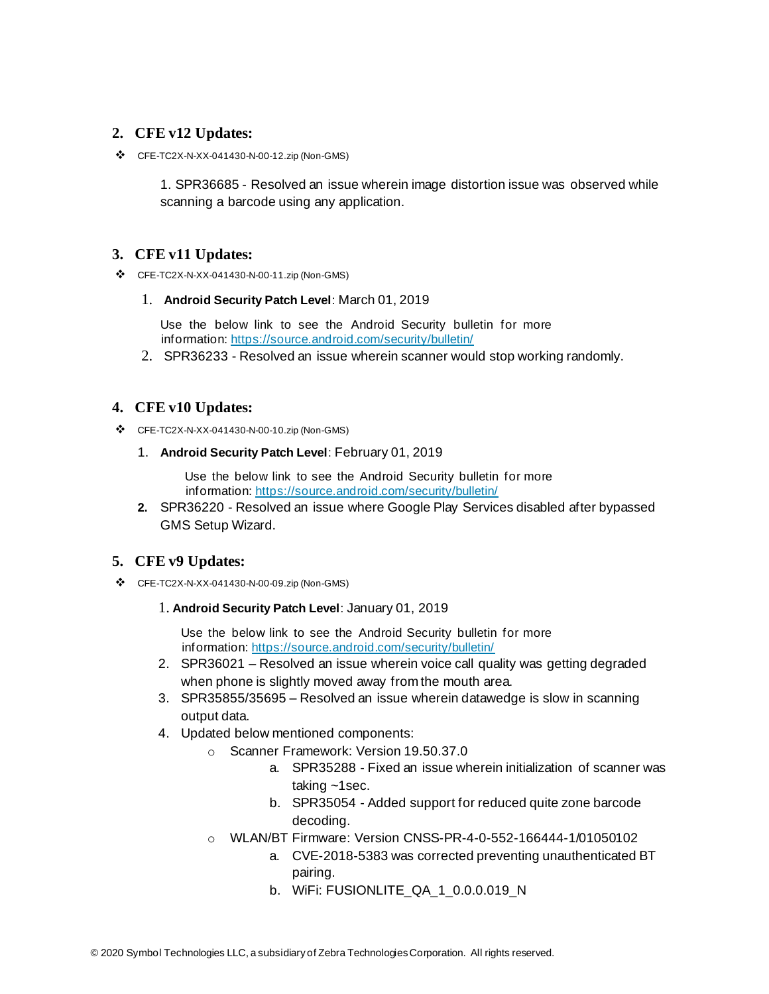#### **2. CFE v12 Updates:**

❖ CFE-TC2X-N-XX-041430-N-00-12.zip (Non-GMS)

1. SPR36685 - Resolved an issue wherein image distortion issue was observed while scanning a barcode using any application.

#### **3. CFE v11 Updates:**

❖ CFE-TC2X-N-XX-041430-N-00-11.zip (Non-GMS)

#### 1. **Android Security Patch Level**: March 01, 2019

Use the below link to see the Android Security bulletin for more information[: https://source.android.com/security/bulletin/](https://source.android.com/security/bulletin/)

2. SPR36233 - Resolved an issue wherein scanner would stop working randomly.

#### **4. CFE v10 Updates:**

- ❖ CFE-TC2X-N-XX-041430-N-00-10.zip (Non-GMS)
	- 1. **Android Security Patch Level**: February 01, 2019

Use the below link to see the Android Security bulletin for more information[: https://source.android.com/security/bulletin/](https://source.android.com/security/bulletin/)

**2.** SPR36220 - Resolved an issue where Google Play Services disabled after bypassed GMS Setup Wizard.

#### **5. CFE v9 Updates:**

❖ CFE-TC2X-N-XX-041430-N-00-09.zip (Non-GMS)

#### 1. **Android Security Patch Level**: January 01, 2019

Use the below link to see the Android Security bulletin for more information[: https://source.android.com/security/bulletin/](https://source.android.com/security/bulletin/)

- 2. SPR36021 Resolved an issue wherein voice call quality was getting degraded when phone is slightly moved away from the mouth area.
- 3. SPR35855/35695 Resolved an issue wherein datawedge is slow in scanning output data.
- 4. Updated below mentioned components:
	- o Scanner Framework: Version 19.50.37.0
		- a. SPR35288 Fixed an issue wherein initialization of scanner was taking ~1sec.
		- b. SPR35054 Added support for reduced quite zone barcode decoding.
	- o WLAN/BT Firmware: Version CNSS-PR-4-0-552-166444-1/01050102
		- a. CVE-2018-5383 was corrected preventing unauthenticated BT pairing.
		- b. WiFi: FUSIONLITE\_QA\_1\_0.0.0.019\_N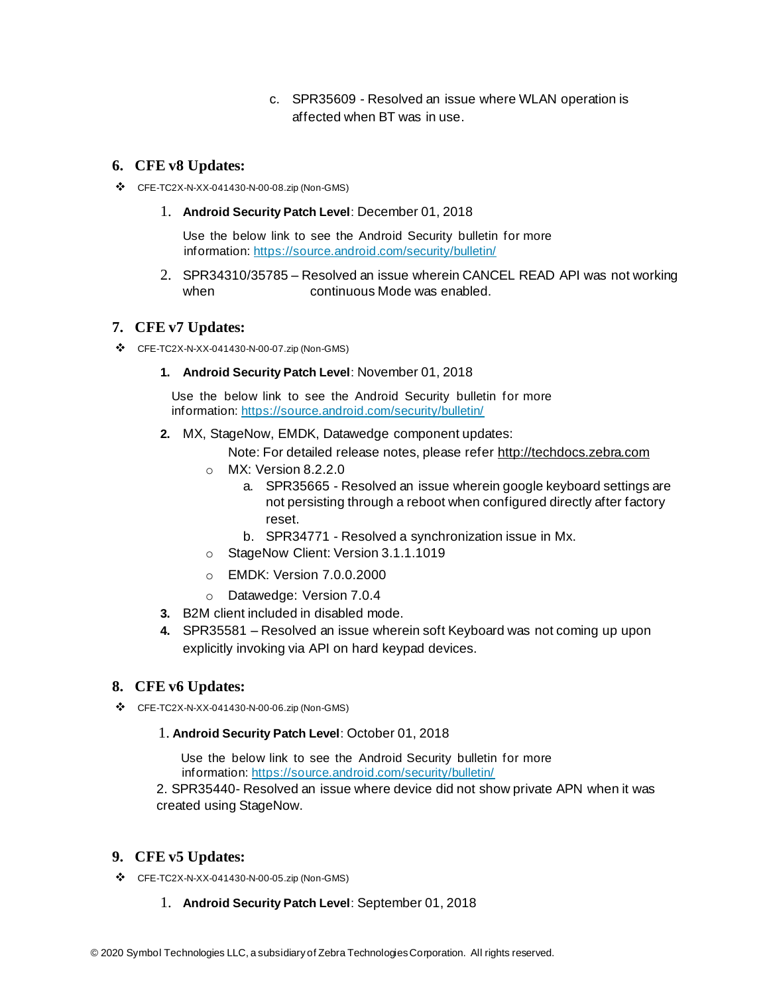c. SPR35609 - Resolved an issue where WLAN operation is affected when BT was in use.

#### **6. CFE v8 Updates:**

- ❖ CFE-TC2X-N-XX-041430-N-00-08.zip (Non-GMS)
	- 1. **Android Security Patch Level**: December 01, 2018

Use the below link to see the Android Security bulletin for more information[: https://source.android.com/security/bulletin/](https://source.android.com/security/bulletin/)

2. SPR34310/35785 – Resolved an issue wherein CANCEL READ API was not working when continuous Mode was enabled.

#### **7. CFE v7 Updates:**

- ❖ CFE-TC2X-N-XX-041430-N-00-07.zip (Non-GMS)
	- **1. Android Security Patch Level**: November 01, 2018

Use the below link to see the Android Security bulletin for more information[: https://source.android.com/security/bulletin/](https://source.android.com/security/bulletin/)

- **2.** MX, StageNow, EMDK, Datawedge component updates:
	- Note: For detailed release notes, please refe[r http://techdocs.zebra.com](http://techdocs.zebra.com/)
	- o MX: Version 8.2.2.0
		- a. SPR35665 Resolved an issue wherein google keyboard settings are not persisting through a reboot when configured directly after factory reset.
		- b. SPR34771 Resolved a synchronization issue in Mx.
	- o StageNow Client: Version 3.1.1.1019
	- o EMDK: Version 7.0.0.2000
	- o Datawedge: Version 7.0.4
- **3.** B2M client included in disabled mode.
- **4.** SPR35581 Resolved an issue wherein soft Keyboard was not coming up upon explicitly invoking via API on hard keypad devices.

#### **8. CFE v6 Updates:**

❖ CFE-TC2X-N-XX-041430-N-00-06.zip (Non-GMS)

#### 1. **Android Security Patch Level**: October 01, 2018

Use the below link to see the Android Security bulletin for more information[: https://source.android.com/security/bulletin/](https://source.android.com/security/bulletin/)

2. SPR35440- Resolved an issue where device did not show private APN when it was created using StageNow.

#### **9. CFE v5 Updates:**

- ❖ CFE-TC2X-N-XX-041430-N-00-05.zip (Non-GMS)
	- 1. **Android Security Patch Level**: September 01, 2018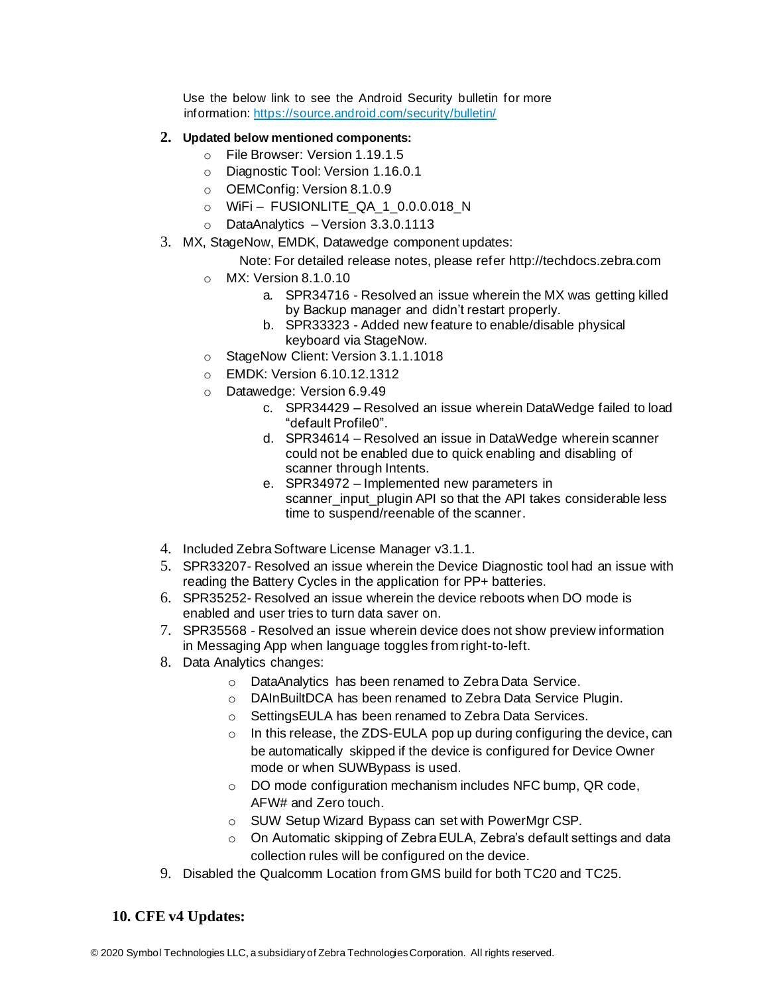Use the below link to see the Android Security bulletin for more information[: https://source.android.com/security/bulletin/](https://source.android.com/security/bulletin/)

#### **2. Updated below mentioned components:**

- o File Browser: Version 1.19.1.5
- o Diagnostic Tool: Version 1.16.0.1
- o OEMConfig: Version 8.1.0.9
- o WiFi FUSIONLITE\_QA\_1\_0.0.0.018\_N
- o DataAnalytics Version 3.3.0.1113
- 3. MX, StageNow, EMDK, Datawedge component updates:

#### Note: For detailed release notes, please refe[r http://techdocs.zebra.com](http://techdocs.zebra.com/)

- o MX: Version 8.1.0.10
	- a. SPR34716 Resolved an issue wherein the MX was getting killed by Backup manager and didn't restart properly.
	- b. SPR33323 Added new feature to enable/disable physical keyboard via StageNow.
- o StageNow Client: Version 3.1.1.1018
- o EMDK: Version 6.10.12.1312
- o Datawedge: Version 6.9.49
	- c. SPR34429 Resolved an issue wherein DataWedge failed to load "default Profile0".
	- d. SPR34614 Resolved an issue in DataWedge wherein scanner could not be enabled due to quick enabling and disabling of scanner through Intents.
	- e. SPR34972 Implemented new parameters in scanner input plugin API so that the API takes considerable less time to suspend/reenable of the scanner.
- 4. Included Zebra Software License Manager v3.1.1.
- 5. SPR33207- Resolved an issue wherein the Device Diagnostic tool had an issue with reading the Battery Cycles in the application for PP+ batteries.
- 6. SPR35252- Resolved an issue wherein the device reboots when DO mode is enabled and user tries to turn data saver on.
- 7. SPR35568 Resolved an issue wherein device does not show preview information in Messaging App when language toggles from right-to-left.
- 8. Data Analytics changes:
	- o DataAnalytics has been renamed to Zebra Data Service.
	- o DAInBuiltDCA has been renamed to Zebra Data Service Plugin.
	- o SettingsEULA has been renamed to Zebra Data Services.
	- $\circ$  In this release, the ZDS-EULA pop up during configuring the device, can be automatically skipped if the device is configured for Device Owner mode or when SUWBypass is used.
	- o DO mode configuration mechanism includes NFC bump, QR code, AFW# and Zero touch.
	- o SUW Setup Wizard Bypass can set with PowerMgr CSP.
	- $\circ$  On Automatic skipping of Zebra EULA, Zebra's default settings and data collection rules will be configured on the device.
- 9. Disabled the Qualcomm Location from GMS build for both TC20 and TC25.

#### **10. CFE v4 Updates:**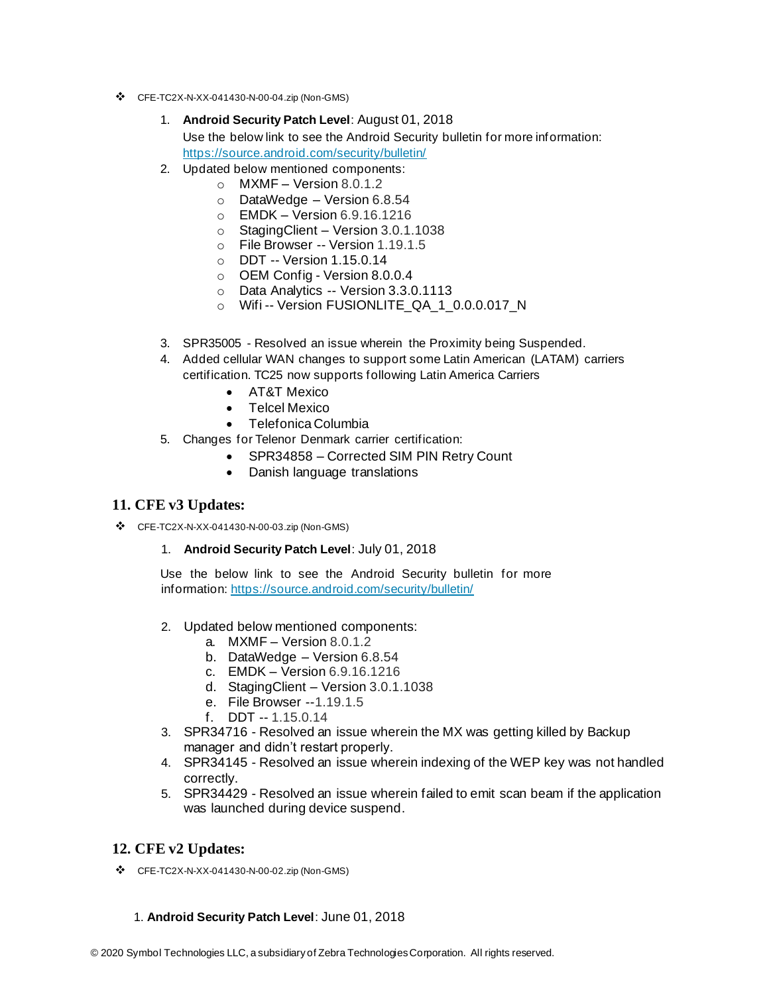- ❖ CFE-TC2X-N-XX-041430-N-00-04.zip (Non-GMS)
	- 1. **Android Security Patch Level**: August 01, 2018 Use the below link to see the Android Security bulletin for more information: <https://source.android.com/security/bulletin/>
	- 2. Updated below mentioned components:
		- $\circ$  MXMF Version 8.0.1.2
		- o DataWedge Version 6.8.54
		- o EMDK Version 6.9.16.1216
		- o StagingClient Version 3.0.1.1038
		- o File Browser -- Version 1.19.1.5
		- o DDT -- Version 1.15.0.14
		- o OEM Config Version 8.0.0.4
		- o Data Analytics -- Version 3.3.0.1113
		- o Wifi-- Version FUSIONLITE\_QA\_1\_0.0.0.017\_N
	- 3. SPR35005 Resolved an issue wherein the Proximity being Suspended.
	- 4. Added cellular WAN changes to support some Latin American (LATAM) carriers certification. TC25 now supports following Latin America Carriers
		- AT&T Mexico
		- Telcel Mexico
		- Telefonica Columbia
	- 5. Changes for Telenor Denmark carrier certification:
		- SPR34858 Corrected SIM PIN Retry Count
		- Danish language translations

#### **11. CFE v3 Updates:**

- ❖ CFE-TC2X-N-XX-041430-N-00-03.zip (Non-GMS)
	- 1. **Android Security Patch Level**: July 01, 2018

Use the below link to see the Android Security bulletin for more information[: https://source.android.com/security/bulletin/](https://source.android.com/security/bulletin/)

- 2. Updated below mentioned components:
	- a. MXMF Version 8.0.1.2
	- b. DataWedge Version 6.8.54
	- c. EMDK Version 6.9.16.1216
	- d. StagingClient Version 3.0.1.1038
	- e. File Browser --1.19.1.5
	- f. DDT -- 1.15.0.14
- 3. SPR34716 Resolved an issue wherein the MX was getting killed by Backup manager and didn't restart properly.
- 4. SPR34145 Resolved an issue wherein indexing of the WEP key was not handled correctly.
- 5. SPR34429 Resolved an issue wherein failed to emit scan beam if the application was launched during device suspend.

#### **12. CFE v2 Updates:**

❖ CFE-TC2X-N-XX-041430-N-00-02.zip (Non-GMS)

#### 1. **Android Security Patch Level**: June 01, 2018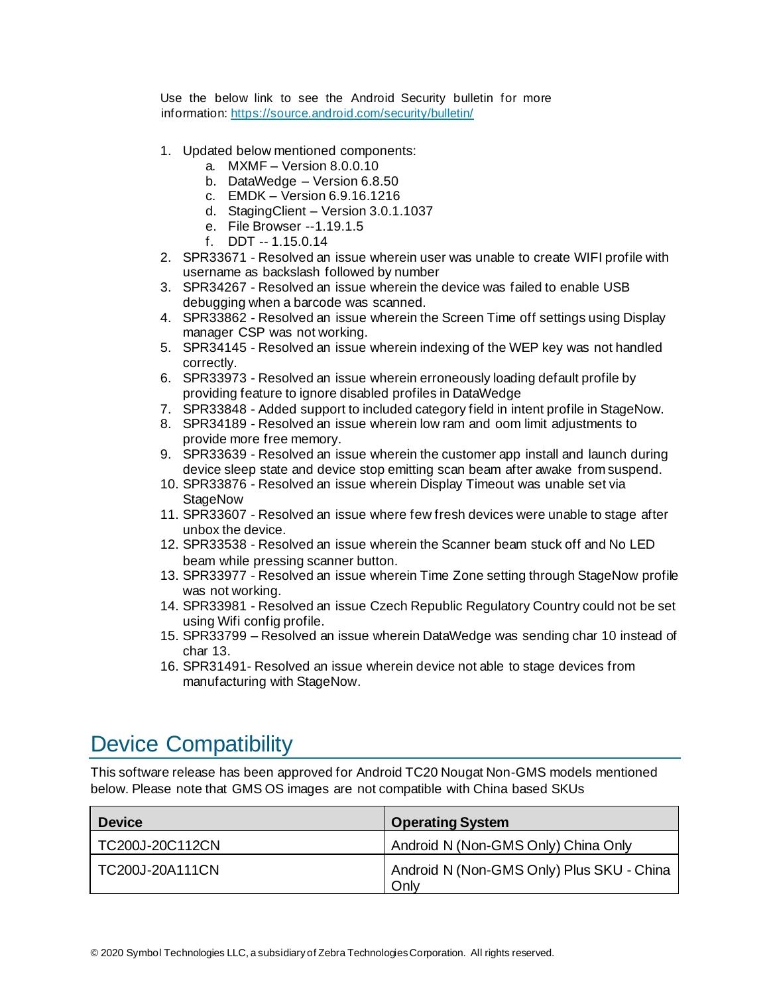Use the below link to see the Android Security bulletin for more information[: https://source.android.com/security/bulletin/](https://source.android.com/security/bulletin/)

- 1. Updated below mentioned components:
	- a. MXMF Version 8.0.0.10
	- b. DataWedge Version 6.8.50
	- c. EMDK Version 6.9.16.1216
	- d. StagingClient Version 3.0.1.1037
	- e. File Browser --1.19.1.5
	- f. DDT -- 1.15.0.14
- 2. SPR33671 Resolved an issue wherein user was unable to create WIFI profile with username as backslash followed by number
- 3. SPR34267 Resolved an issue wherein the device was failed to enable USB debugging when a barcode was scanned.
- 4. SPR33862 Resolved an issue wherein the Screen Time off settings using Display manager CSP was not working.
- 5. SPR34145 Resolved an issue wherein indexing of the WEP key was not handled correctly.
- 6. SPR33973 Resolved an issue wherein erroneously loading default profile by providing feature to ignore disabled profiles in DataWedge
- 7. SPR33848 Added support to included category field in intent profile in StageNow.
- 8. SPR34189 Resolved an issue wherein low ram and oom limit adjustments to provide more free memory.
- 9. SPR33639 Resolved an issue wherein the customer app install and launch during device sleep state and device stop emitting scan beam after awake from suspend.
- 10. SPR33876 Resolved an issue wherein Display Timeout was unable set via **StageNow**
- 11. SPR33607 Resolved an issue where few fresh devices were unable to stage after unbox the device.
- 12. SPR33538 Resolved an issue wherein the Scanner beam stuck off and No LED beam while pressing scanner button.
- 13. SPR33977 Resolved an issue wherein Time Zone setting through StageNow profile was not working.
- 14. SPR33981 Resolved an issue Czech Republic Regulatory Country could not be set using Wifi config profile.
- 15. SPR33799 Resolved an issue wherein DataWedge was sending char 10 instead of char 13.
- 16. SPR31491- Resolved an issue wherein device not able to stage devices from manufacturing with StageNow.

# <span id="page-7-0"></span>Device Compatibility

This software release has been approved for Android TC20 Nougat Non-GMS models mentioned below. Please note that GMS OS images are not compatible with China based SKUs

| <b>Device</b>   | <b>Operating System</b>                           |
|-----------------|---------------------------------------------------|
| TC200J-20C112CN | Android N (Non-GMS Only) China Only               |
| TC200J-20A111CN | Android N (Non-GMS Only) Plus SKU - China<br>Only |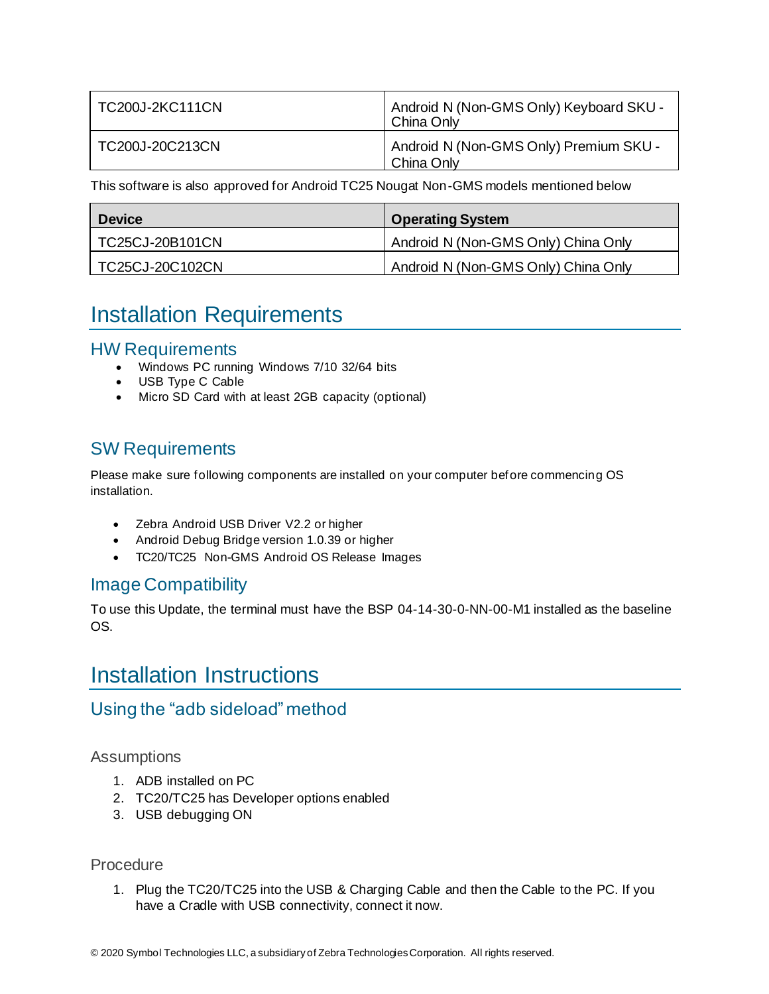| <b>TC200J-2KC111CN</b> | Android N (Non-GMS Only) Keyboard SKU -<br>China Only |
|------------------------|-------------------------------------------------------|
| TC200J-20C213CN        | Android N (Non-GMS Only) Premium SKU -<br>China Only  |

This software is also approved for Android TC25 Nougat Non-GMS models mentioned below

| <b>Device</b>   | <b>Operating System</b>             |
|-----------------|-------------------------------------|
| TC25CJ-20B101CN | Android N (Non-GMS Only) China Only |
| TC25CJ-20C102CN | Android N (Non-GMS Only) China Only |

## <span id="page-8-0"></span>Installation Requirements

#### HW Requirements

- Windows PC running Windows 7/10 32/64 bits
- USB Type C Cable
- Micro SD Card with at least 2GB capacity (optional)

### SW Requirements

Please make sure following components are installed on your computer before commencing OS installation.

- Zebra Android USB Driver V2.2 or higher
- Android Debug Bridge version 1.0.39 or higher
- TC20/TC25 Non-GMS Android OS Release Images

### Image Compatibility

To use this Update, the terminal must have the BSP 04-14-30-0-NN-00-M1 installed as the baseline OS.

## <span id="page-8-1"></span>Installation Instructions

### Using the "adb sideload" method

#### **Assumptions**

- 1. ADB installed on PC
- 2. TC20/TC25 has Developer options enabled
- 3. USB debugging ON

#### Procedure

1. Plug the TC20/TC25 into the USB & Charging Cable and then the Cable to the PC. If you have a Cradle with USB connectivity, connect it now.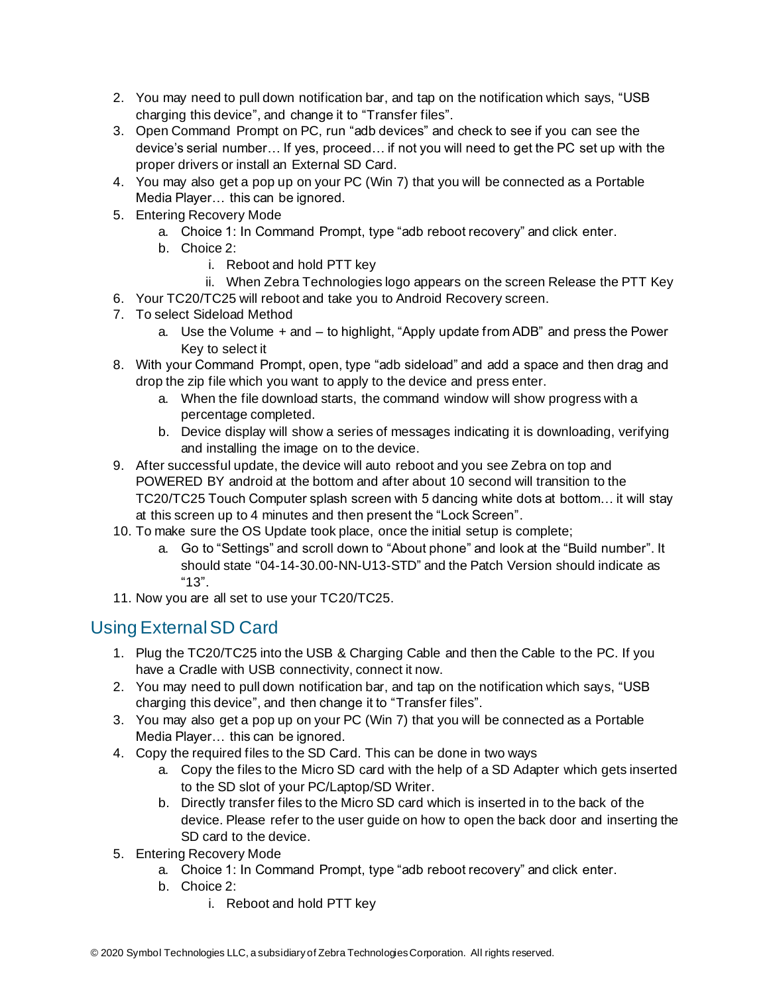- 2. You may need to pull down notification bar, and tap on the notification which says, "USB charging this device", and change it to "Transfer files".
- 3. Open Command Prompt on PC, run "adb devices" and check to see if you can see the device's serial number… If yes, proceed… if not you will need to get the PC set up with the proper drivers or install an External SD Card.
- 4. You may also get a pop up on your PC (Win 7) that you will be connected as a Portable Media Player… this can be ignored.
- 5. Entering Recovery Mode
	- a. Choice 1: In Command Prompt, type "adb reboot recovery" and click enter.
	- b. Choice 2:
		- i. Reboot and hold PTT key
		- ii. When Zebra Technologies logo appears on the screen Release the PTT Key
- 6. Your TC20/TC25 will reboot and take you to Android Recovery screen.
- 7. To select Sideload Method
	- a. Use the Volume + and to highlight, "Apply update from ADB" and press the Power Key to select it
- 8. With your Command Prompt, open, type "adb sideload" and add a space and then drag and drop the zip file which you want to apply to the device and press enter.
	- a. When the file download starts, the command window will show progress with a percentage completed.
	- b. Device display will show a series of messages indicating it is downloading, verifying and installing the image on to the device.
- 9. After successful update, the device will auto reboot and you see Zebra on top and POWERED BY android at the bottom and after about 10 second will transition to the TC20/TC25 Touch Computer splash screen with 5 dancing white dots at bottom… it will stay at this screen up to 4 minutes and then present the "Lock Screen".
- 10. To make sure the OS Update took place, once the initial setup is complete;
	- a. Go to "Settings" and scroll down to "About phone" and look at the "Build number". It should state "04-14-30.00-NN-U13-STD" and the Patch Version should indicate as "13".
- 11. Now you are all set to use your TC20/TC25.

### Using External SD Card

- 1. Plug the TC20/TC25 into the USB & Charging Cable and then the Cable to the PC. If you have a Cradle with USB connectivity, connect it now.
- 2. You may need to pull down notification bar, and tap on the notification which says, "USB charging this device", and then change it to "Transfer files".
- 3. You may also get a pop up on your PC (Win 7) that you will be connected as a Portable Media Player… this can be ignored.
- 4. Copy the required files to the SD Card. This can be done in two ways
	- a. Copy the files to the Micro SD card with the help of a SD Adapter which gets inserted to the SD slot of your PC/Laptop/SD Writer.
	- b. Directly transfer files to the Micro SD card which is inserted in to the back of the device. Please refer to the user guide on how to open the back door and inserting the SD card to the device.
- 5. Entering Recovery Mode
	- a. Choice 1: In Command Prompt, type "adb reboot recovery" and click enter.
	- b. Choice 2:
		- i. Reboot and hold PTT key